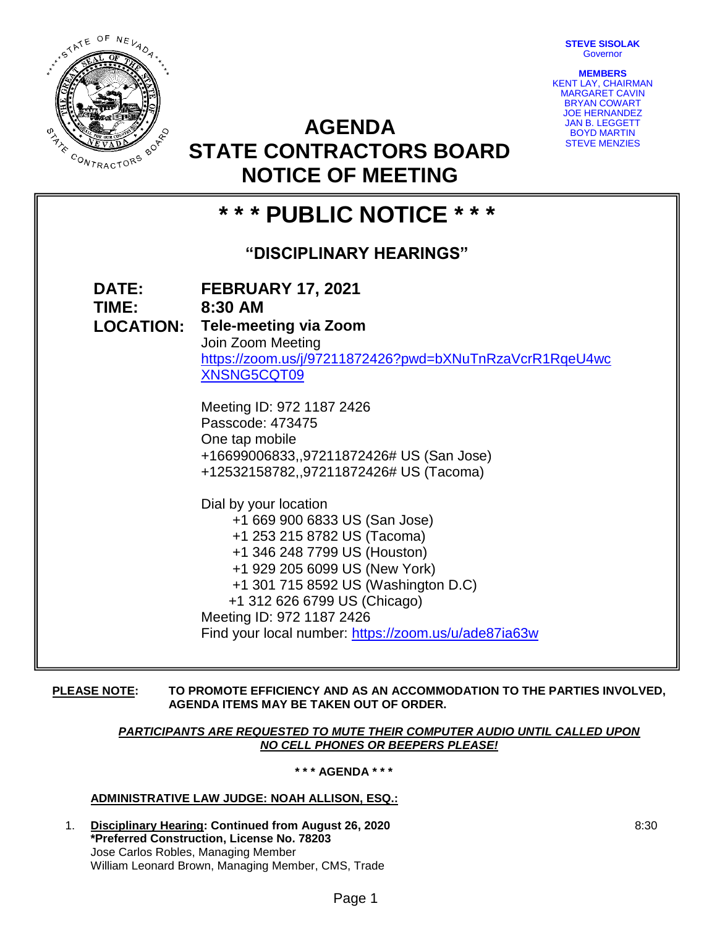**STEVE SISOLAK** Governor

**MEMBERS**



KENT LAY, CHAIRMAN MARGARET CAVIN BRYAN COWART JOE HERNANDEZ JAN B. LEGGETT BOYD MARTIN STEVE MENZIES

# **STATE CONTRACTORS BOARD NOTICE OF MEETING**

**AGENDA** 

| * * * PUBLIC NOTICE * * *      |                                                                                                                                                                                                                                                                                                                                                                                                                                                                                                                                                                                                                                                  |
|--------------------------------|--------------------------------------------------------------------------------------------------------------------------------------------------------------------------------------------------------------------------------------------------------------------------------------------------------------------------------------------------------------------------------------------------------------------------------------------------------------------------------------------------------------------------------------------------------------------------------------------------------------------------------------------------|
| <b>"DISCIPLINARY HEARINGS"</b> |                                                                                                                                                                                                                                                                                                                                                                                                                                                                                                                                                                                                                                                  |
| DATE:<br>TIME: 8:30 AM         | <b>FEBRUARY 17, 2021</b><br><b>LOCATION: Tele-meeting via Zoom</b><br>Join Zoom Meeting<br>https://zoom.us/j/97211872426?pwd=bXNuTnRzaVcrR1RqeU4wc<br>XNSNG5CQT09<br>Meeting ID: 972 1187 2426<br>Passcode: 473475<br>One tap mobile<br>+16699006833,,97211872426# US (San Jose)<br>+12532158782,,97211872426# US (Tacoma)<br>Dial by your location<br>+1 669 900 6833 US (San Jose)<br>+1 253 215 8782 US (Tacoma)<br>+1 346 248 7799 US (Houston)<br>+1 929 205 6099 US (New York)<br>+1 301 715 8592 US (Washington D.C)<br>+1 312 626 6799 US (Chicago)<br>Meeting ID: 972 1187 2426<br>Find your local number: https://zoom.us/u/ade87ia63w |
|                                |                                                                                                                                                                                                                                                                                                                                                                                                                                                                                                                                                                                                                                                  |

### **PLEASE NOTE: TO PROMOTE EFFICIENCY AND AS AN ACCOMMODATION TO THE PARTIES INVOLVED, AGENDA ITEMS MAY BE TAKEN OUT OF ORDER.**

### *PARTICIPANTS ARE REQUESTED TO MUTE THEIR COMPUTER AUDIO UNTIL CALLED UPON NO CELL PHONES OR BEEPERS PLEASE!*

### **\* \* \* AGENDA \* \* \***

## **ADMINISTRATIVE LAW JUDGE: NOAH ALLISON, ESQ.:**

1. **Disciplinary Hearing: Continued from August 26, 2020 \*Preferred Construction, License No. 78203** Jose Carlos Robles, Managing Member William Leonard Brown, Managing Member, CMS, Trade

8:30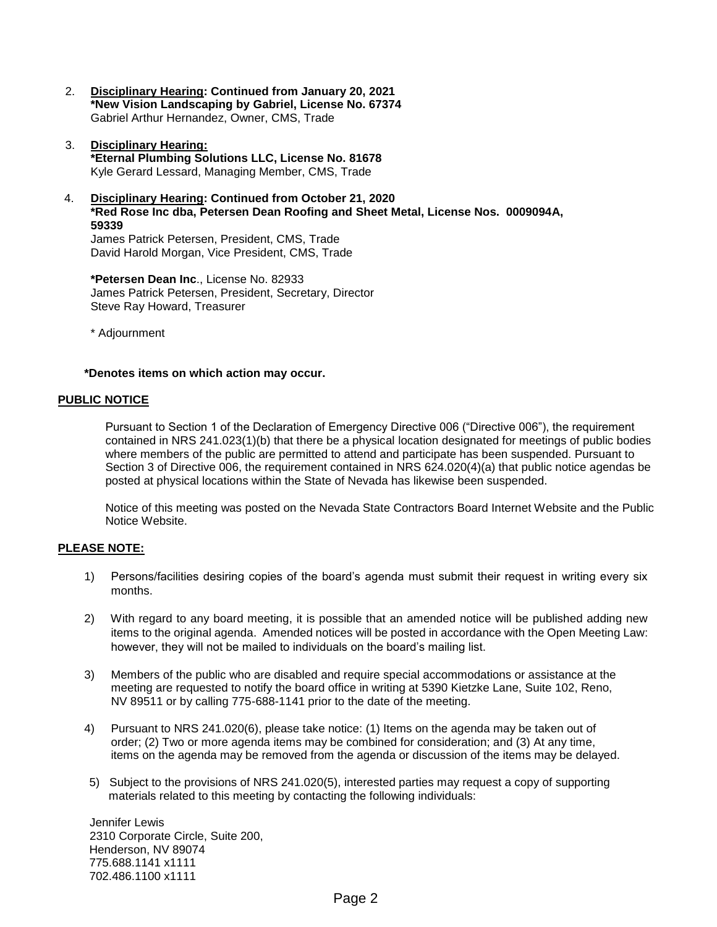- 2. **Disciplinary Hearing: Continued from January 20, 2021 \*New Vision Landscaping by Gabriel, License No. 67374** Gabriel Arthur Hernandez, Owner, CMS, Trade
- 3. **Disciplinary Hearing: \*Eternal Plumbing Solutions LLC, License No. 81678** Kyle Gerard Lessard, Managing Member, CMS, Trade
- 4. **Disciplinary Hearing: Continued from October 21, 2020 \*Red Rose Inc dba, Petersen Dean Roofing and Sheet Metal, License Nos. 0009094A, 59339** James Patrick Petersen, President, CMS, Trade

David Harold Morgan, Vice President, CMS, Trade

**\*Petersen Dean Inc**., License No. 82933 James Patrick Petersen, President, Secretary, Director Steve Ray Howard, Treasurer

\* Adjournment

**\*Denotes items on which action may occur.**

### **PUBLIC NOTICE**

Pursuant to Section 1 of the Declaration of Emergency Directive 006 ("Directive 006"), the requirement contained in NRS 241.023(1)(b) that there be a physical location designated for meetings of public bodies where members of the public are permitted to attend and participate has been suspended. Pursuant to Section 3 of Directive 006, the requirement contained in NRS 624.020(4)(a) that public notice agendas be posted at physical locations within the State of Nevada has likewise been suspended.

Notice of this meeting was posted on the Nevada State Contractors Board Internet Website and the Public Notice Website.

### **PLEASE NOTE:**

- 1) Persons/facilities desiring copies of the board's agenda must submit their request in writing every six months.
- 2) With regard to any board meeting, it is possible that an amended notice will be published adding new items to the original agenda. Amended notices will be posted in accordance with the Open Meeting Law: however, they will not be mailed to individuals on the board's mailing list.
- 3) Members of the public who are disabled and require special accommodations or assistance at the meeting are requested to notify the board office in writing at 5390 Kietzke Lane, Suite 102, Reno, NV 89511 or by calling 775-688-1141 prior to the date of the meeting.
- 4) Pursuant to NRS 241.020(6), please take notice: (1) Items on the agenda may be taken out of order; (2) Two or more agenda items may be combined for consideration; and (3) At any time, items on the agenda may be removed from the agenda or discussion of the items may be delayed.
- 5) Subject to the provisions of NRS 241.020(5), interested parties may request a copy of supporting materials related to this meeting by contacting the following individuals:

Jennifer Lewis 2310 Corporate Circle, Suite 200, Henderson, NV 89074 775.688.1141 x1111 702.486.1100 x1111